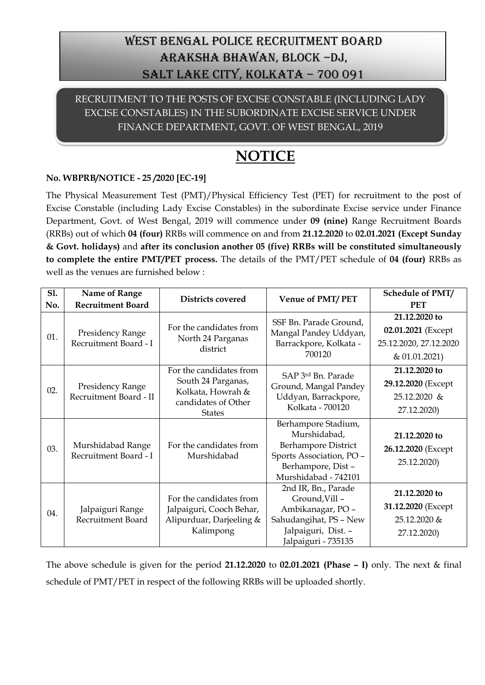## West Bengal police recruitment board araksha bhaWan, block –dj, salt lake city, kolkata – 700 091

RECRUITMENT TO THE POSTS OF EXCISE CONSTABLE (INCLUDING LADY EXCISE CONSTABLES) IN THE SUBORDINATE EXCISE SERVICE UNDER FINANCE DEPARTMENT, GOVT. OF WEST BENGAL, 2019

## **NOTICE**

## **No. WBPRB/NOTICE - 25 /2020 [EC-19]**

The Physical Measurement Test (PMT)/Physical Efficiency Test (PET) for recruitment to the post of Excise Constable (including Lady Excise Constables) in the subordinate Excise service under Finance Department, Govt. of West Bengal, 2019 will commence under **09 (nine)** Range Recruitment Boards (RRBs) out of which **04 (four)** RRBs will commence on and from **21.12.2020** to **02.01.2021 (Except Sunday & Govt. holidays)** and **after its conclusion another 05 (five) RRBs will be constituted simultaneously to complete the entire PMT/PET process.** The details of the PMT/PET schedule of **04 (four)** RRBs as well as the venues are furnished below :

| S1.<br>No. | Name of Range<br><b>Recruitment Board</b>  | Districts covered                                                                                          | <b>Venue of PMT/PET</b>                                                                                                                    | Schedule of PMT/<br><b>PET</b>                                                 |
|------------|--------------------------------------------|------------------------------------------------------------------------------------------------------------|--------------------------------------------------------------------------------------------------------------------------------------------|--------------------------------------------------------------------------------|
| 01.        | Presidency Range<br>Recruitment Board - I  | For the candidates from<br>North 24 Parganas<br>district                                                   | SSF Bn. Parade Ground,<br>Mangal Pandey Uddyan,<br>Barrackpore, Kolkata -<br>700120                                                        | 21.12.2020 to<br>02.01.2021 (Except<br>25.12.2020, 27.12.2020<br>& 01.01.2021) |
| 02.        | Presidency Range<br>Recruitment Board - II | For the candidates from<br>South 24 Parganas,<br>Kolkata, Howrah &<br>candidates of Other<br><b>States</b> | SAP 3rd Bn. Parade<br>Ground, Mangal Pandey<br>Uddyan, Barrackpore,<br>Kolkata - 700120                                                    | 21.12.2020 to<br>29.12.2020 (Except<br>25.12.2020 &<br>27.12.2020)             |
| 03.        | Murshidabad Range<br>Recruitment Board - I | For the candidates from<br>Murshidabad                                                                     | Berhampore Stadium,<br>Murshidabad,<br><b>Berhampore District</b><br>Sports Association, PO -<br>Berhampore, Dist-<br>Murshidabad - 742101 | 21.12.2020 to<br>26.12.2020 (Except<br>25.12.2020)                             |
| 04.        | Jalpaiguri Range<br>Recruitment Board      | For the candidates from<br>Jalpaiguri, Cooch Behar,<br>Alipurduar, Darjeeling &<br>Kalimpong               | 2nd IR, Bn., Parade<br>Ground, Vill-<br>Ambikanagar, PO -<br>Sahudangihat, PS - New<br>Jalpaiguri, Dist. -<br>Jalpaiguri - 735135          | 21.12.2020 to<br>31.12.2020 (Except<br>25.12.2020 &<br>27.12.2020)             |

The above schedule is given for the period **21.12.2020** to **02.01.2021 (Phase – I)** only. The next & final schedule of PMT/PET in respect of the following RRBs will be uploaded shortly.